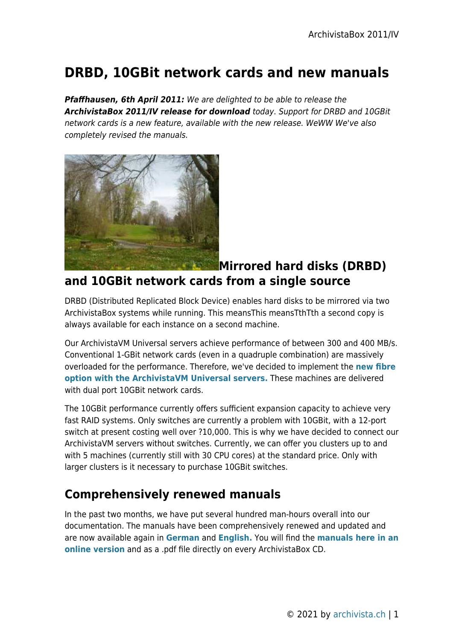## **DRBD, 10GBit network cards and new manuals**

*Pfaffhausen, 6th April 2011:* We are delighted to be able to release the *ArchivistaBox 2011/IV release for download* today. Support for DRBD and 10GBit network cards is a new feature, available with the new release. WeWW We've also completely revised the manuals.



## **Mirrored hard disks (DRBD) and 10GBit network cards from a single source**

DRBD (Distributed Replicated Block Device) enables hard disks to be mirrored via two ArchivistaBox systems while running. This meansThis meansTthTth a second copy is always available for each instance on a second machine.

Our ArchivistaVM Universal servers achieve performance of between 300 and 400 MB/s. Conventional 1-GBit network cards (even in a quadruple combination) are massively overloaded for the performance. Therefore, we've decided to implement the **[new fibre](http://shop.archivista.ch/oscommerce/catalog/product_info.php?cPath=28&products_id=101&language=en) [option with the ArchivistaVM Universal servers.](http://shop.archivista.ch/oscommerce/catalog/product_info.php?cPath=28&products_id=101&language=en)** These machines are delivered with dual port 10GBit network cards.

The 10GBit performance currently offers sufficient expansion capacity to achieve very fast RAID systems. Only switches are currently a problem with 10GBit, with a 12-port switch at present costing well over ?10,000. This is why we have decided to connect our ArchivistaVM servers without switches. Currently, we can offer you clusters up to and with 5 machines (currently still with 30 CPU cores) at the standard price. Only with larger clusters is it necessary to purchase 10GBit switches.

## **Comprehensively renewed manuals**

In the past two months, we have put several hundred man-hours overall into our documentation. The manuals have been comprehensively renewed and updated and are now available again in **[German](https://archivista.ch/d2/help/)** and **[English.](https://archivista.ch/e2/help/)** You will find the **[manuals here in an](https://archivista.ch/e2/help/) [online version](https://archivista.ch/e2/help/)** and as a .pdf file directly on every ArchivistaBox CD.